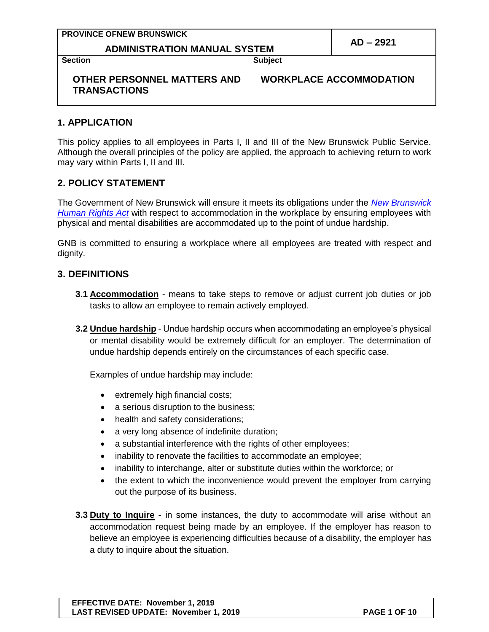| <b>PROVINCE OFNEW BRUNSWICK</b>                    |                                |           |
|----------------------------------------------------|--------------------------------|-----------|
| <b>ADMINISTRATION MANUAL SYSTEM</b>                |                                | AD – 2921 |
| <b>Section</b>                                     | <b>Subject</b>                 |           |
| OTHER PERSONNEL MATTERS AND<br><b>TRANSACTIONS</b> | <b>WORKPLACE ACCOMMODATION</b> |           |

#### **1. APPLICATION**

This policy applies to all employees in Parts I, II and III of the New Brunswick Public Service. Although the overall principles of the policy are applied, the approach to achieving return to work may vary within Parts I, II and III.

#### **2. POLICY STATEMENT**

The Government of New Brunswick will ensure it meets its obligations under the *[New Brunswick](http://laws.gnb.ca/en/ShowPdf/cs/2011-c.171.pdf)  [Human Rights Act](http://laws.gnb.ca/en/ShowPdf/cs/2011-c.171.pdf)* with respect to accommodation in the workplace by ensuring employees with physical and mental disabilities are accommodated up to the point of undue hardship.

GNB is committed to ensuring a workplace where all employees are treated with respect and dignity.

#### **3. DEFINITIONS**

- **3.1 Accommodation** means to take steps to remove or adjust current job duties or job tasks to allow an employee to remain actively employed.
- **3.2 Undue hardship** Undue hardship occurs when accommodating an employee's physical or mental disability would be extremely difficult for an employer. The determination of undue hardship depends entirely on the circumstances of each specific case.

Examples of undue hardship may include:

- extremely high financial costs;
- a serious disruption to the business;
- health and safety considerations;
- a very long absence of indefinite duration;
- a substantial interference with the rights of other employees;
- inability to renovate the facilities to accommodate an employee;
- inability to interchange, alter or substitute duties within the workforce; or
- the extent to which the inconvenience would prevent the employer from carrying out the purpose of its business.
- **3.3 Duty to Inquire** in some instances, the duty to accommodate will arise without an accommodation request being made by an employee. If the employer has reason to believe an employee is experiencing difficulties because of a disability, the employer has a duty to inquire about the situation.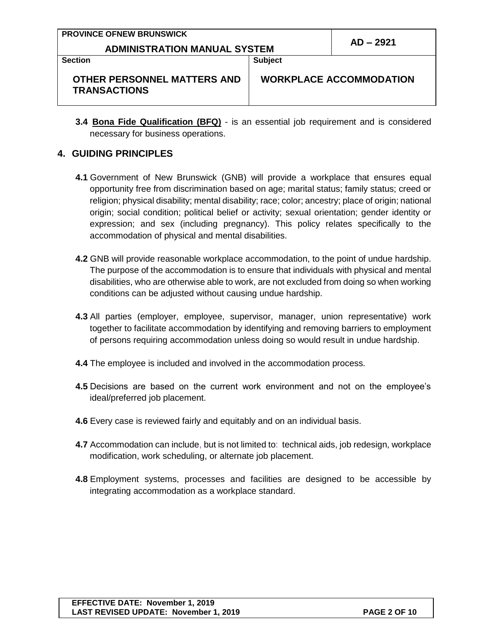| <b>PROVINCE OFNEW BRUNSWICK</b>     |                |                                |
|-------------------------------------|----------------|--------------------------------|
| <b>ADMINISTRATION MANUAL SYSTEM</b> |                | AD – 2921                      |
| <b>Section</b>                      | <b>Subject</b> |                                |
| OTHER PERSONNEL MATTERS AND         |                | <b>WORKPLACE ACCOMMODATION</b> |

**3.4 Bona Fide Qualification (BFQ)** - is an essential job requirement and is considered necessary for business operations.

#### **4. GUIDING PRINCIPLES**

**TRANSACTIONS**

- **4.1** Government of New Brunswick (GNB) will provide a workplace that ensures equal opportunity free from discrimination based on age; marital status; family status; creed or religion; physical disability; mental disability; race; color; ancestry; place of origin; national origin; social condition; political belief or activity; sexual orientation; gender identity or expression; and sex (including pregnancy). This policy relates specifically to the accommodation of physical and mental disabilities.
- **4.2** GNB will provide reasonable workplace accommodation, to the point of undue hardship. The purpose of the accommodation is to ensure that individuals with physical and mental disabilities, who are otherwise able to work, are not excluded from doing so when working conditions can be adjusted without causing undue hardship.
- **4.3** All parties (employer, employee, supervisor, manager, union representative) work together to facilitate accommodation by identifying and removing barriers to employment of persons requiring accommodation unless doing so would result in undue hardship.
- **4.4** The employee is included and involved in the accommodation process.
- **4.5** Decisions are based on the current work environment and not on the employee's ideal/preferred job placement.
- **4.6** Every case is reviewed fairly and equitably and on an individual basis.
- **4.7** Accommodation can include, but is not limited to: technical aids, job redesign, workplace modification, work scheduling, or alternate job placement.
- **4.8** Employment systems, processes and facilities are designed to be accessible by integrating accommodation as a workplace standard.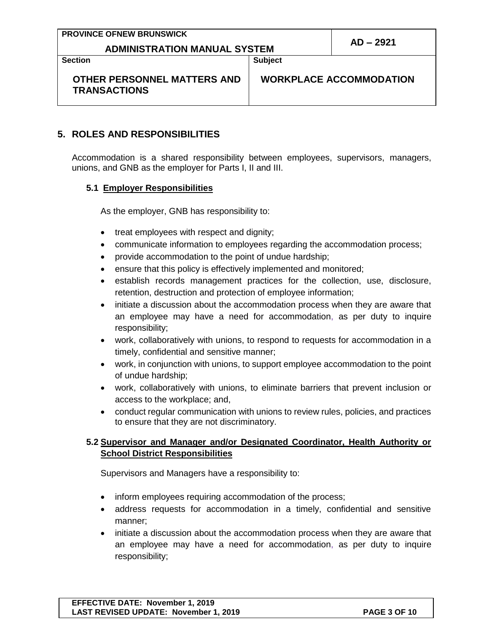| <b>PROVINCE OFNEW BRUNSWICK</b> |                                     |                |             |
|---------------------------------|-------------------------------------|----------------|-------------|
|                                 | <b>ADMINISTRATION MANUAL SYSTEM</b> |                | $AD - 2921$ |
| <b>Section</b>                  |                                     | <b>Subject</b> |             |

**Section**

**Subject**

**WORKPLACE ACCOMMODATION**

## **OTHER PERSONNEL MATTERS AND TRANSACTIONS**

## **5. ROLES AND RESPONSIBILITIES**

Accommodation is a shared responsibility between employees, supervisors, managers, unions, and GNB as the employer for Parts I, II and III.

### **5.1 Employer Responsibilities**

As the employer, GNB has responsibility to:

- treat employees with respect and dignity;
- communicate information to employees regarding the accommodation process;
- provide accommodation to the point of undue hardship;
- ensure that this policy is effectively implemented and monitored;
- establish records management practices for the collection, use, disclosure, retention, destruction and protection of employee information;
- initiate a discussion about the accommodation process when they are aware that an employee may have a need for accommodation, as per duty to inquire responsibility;
- work, collaboratively with unions, to respond to requests for accommodation in a timely, confidential and sensitive manner;
- work, in conjunction with unions, to support employee accommodation to the point of undue hardship;
- work, collaboratively with unions, to eliminate barriers that prevent inclusion or access to the workplace; and,
- conduct regular communication with unions to review rules, policies, and practices to ensure that they are not discriminatory.

### **5.2 Supervisor and Manager and/or Designated Coordinator, Health Authority or School District Responsibilities**

Supervisors and Managers have a responsibility to:

- inform employees requiring accommodation of the process;
- address requests for accommodation in a timely, confidential and sensitive manner;
- initiate a discussion about the accommodation process when they are aware that an employee may have a need for accommodation, as per duty to inquire responsibility;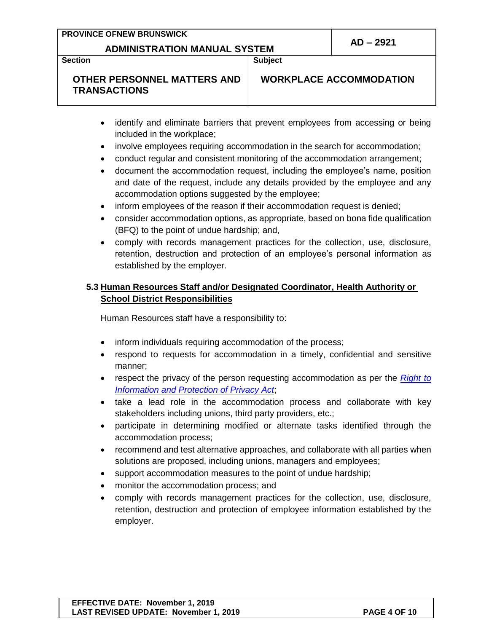#### **PROVINCE OFNEW BRUNSWICK**

# **ADMINISTRATION MANUAL SYSTEM AD – <sup>2921</sup>**

**Section**

**Subject**

### **OTHER PERSONNEL MATTERS AND TRANSACTIONS**

**WORKPLACE ACCOMMODATION**

- identify and eliminate barriers that prevent employees from accessing or being included in the workplace;
- involve employees requiring accommodation in the search for accommodation;
- conduct regular and consistent monitoring of the accommodation arrangement;
- document the accommodation request, including the employee's name, position and date of the request, include any details provided by the employee and any accommodation options suggested by the employee;
- inform employees of the reason if their accommodation request is denied;
- consider accommodation options, as appropriate, based on bona fide qualification (BFQ) to the point of undue hardship; and,
- comply with records management practices for the collection, use, disclosure, retention, destruction and protection of an employee's personal information as established by the employer.

### **5.3 Human Resources Staff and/or Designated Coordinator, Health Authority or School District Responsibilities**

Human Resources staff have a responsibility to:

- inform individuals requiring accommodation of the process;
- respond to requests for accommodation in a timely, confidential and sensitive manner;
- respect the privacy of the person requesting accommodation as per the *[Right to](http://laws.gnb.ca/en/ShowPdf/cs/R-10.6.pdf)  [Information and Protection of Privacy Act](http://laws.gnb.ca/en/ShowPdf/cs/R-10.6.pdf)*;
- take a lead role in the accommodation process and collaborate with key stakeholders including unions, third party providers, etc.;
- participate in determining modified or alternate tasks identified through the accommodation process;
- recommend and test alternative approaches, and collaborate with all parties when solutions are proposed, including unions, managers and employees;
- support accommodation measures to the point of undue hardship;
- monitor the accommodation process; and
- comply with records management practices for the collection, use, disclosure, retention, destruction and protection of employee information established by the employer.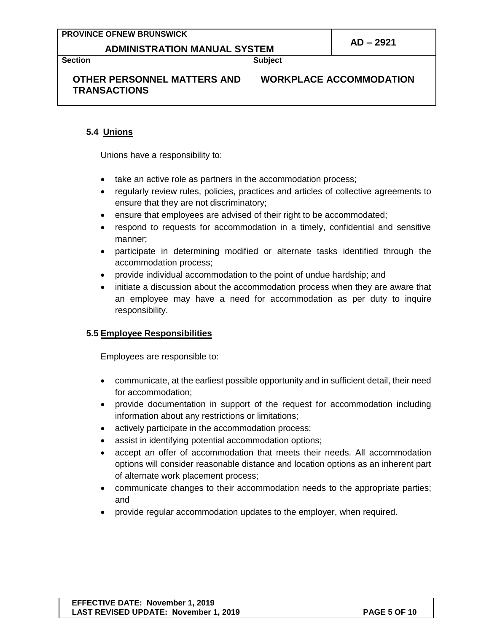#### **PROVINCE OFNEW BRUNSWICK**

# **ADMINISTRATION MANUAL SYSTEM AD – <sup>2921</sup>**

**Section**

**Subject**

## **OTHER PERSONNEL MATTERS AND TRANSACTIONS**

**WORKPLACE ACCOMMODATION**

#### **5.4 Unions**

Unions have a responsibility to:

- take an active role as partners in the accommodation process;
- regularly review rules, policies, practices and articles of collective agreements to ensure that they are not discriminatory;
- ensure that employees are advised of their right to be accommodated;
- respond to requests for accommodation in a timely, confidential and sensitive manner;
- participate in determining modified or alternate tasks identified through the accommodation process;
- provide individual accommodation to the point of undue hardship; and
- initiate a discussion about the accommodation process when they are aware that an employee may have a need for accommodation as per duty to inquire responsibility.

#### **5.5 Employee Responsibilities**

Employees are responsible to:

- communicate, at the earliest possible opportunity and in sufficient detail, their need for accommodation;
- provide documentation in support of the request for accommodation including information about any restrictions or limitations;
- actively participate in the accommodation process;
- assist in identifying potential accommodation options;
- accept an offer of accommodation that meets their needs. All accommodation options will consider reasonable distance and location options as an inherent part of alternate work placement process;
- communicate changes to their accommodation needs to the appropriate parties; and
- provide regular accommodation updates to the employer, when required.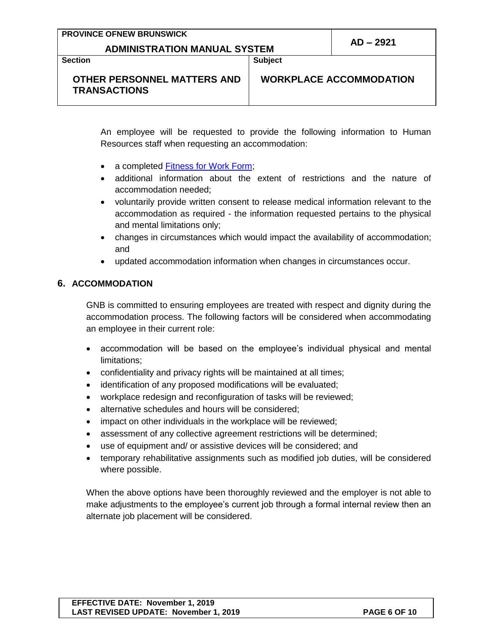|  |  |  | <b>PROVINCE OFNEW BRUNSWICK</b> |  |
|--|--|--|---------------------------------|--|
|--|--|--|---------------------------------|--|

# **ADMINISTRATION MANUAL SYSTEM AD – <sup>2921</sup>**

**Section**

**Subject**

#### **OTHER PERSONNEL MATTERS AND TRANSACTIONS**

**WORKPLACE ACCOMMODATION**

An employee will be requested to provide the following information to Human Resources staff when requesting an accommodation:

- a completed [Fitness for Work Form;](http://intranet.gnb.ca/intellinet/adminman/adminman/2921A-e.pdf)
- additional information about the extent of restrictions and the nature of accommodation needed;
- voluntarily provide written consent to release medical information relevant to the accommodation as required - the information requested pertains to the physical and mental limitations only;
- changes in circumstances which would impact the availability of accommodation; and
- updated accommodation information when changes in circumstances occur.

#### **6. ACCOMMODATION**

GNB is committed to ensuring employees are treated with respect and dignity during the accommodation process. The following factors will be considered when accommodating an employee in their current role:

- accommodation will be based on the employee's individual physical and mental limitations;
- confidentiality and privacy rights will be maintained at all times;
- identification of any proposed modifications will be evaluated;
- workplace redesign and reconfiguration of tasks will be reviewed;
- alternative schedules and hours will be considered;
- impact on other individuals in the workplace will be reviewed;
- assessment of any collective agreement restrictions will be determined;
- use of equipment and/ or assistive devices will be considered; and
- temporary rehabilitative assignments such as modified job duties, will be considered where possible.

When the above options have been thoroughly reviewed and the employer is not able to make adjustments to the employee's current job through a formal internal review then an alternate job placement will be considered.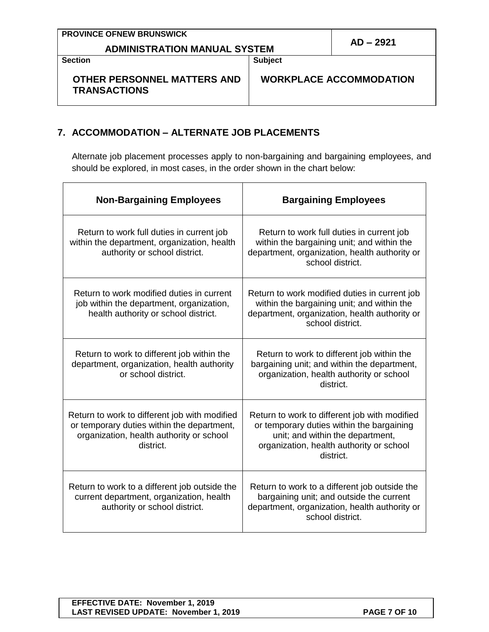| <b>PROVINCE OFNEW BRUNSWICK</b>     |           |
|-------------------------------------|-----------|
| <b>ADMINISTRATION MANUAL SYSTEM</b> | AD – 2921 |

**Section**

**Subject**

**WORKPLACE ACCOMMODATION**

## **OTHER PERSONNEL MATTERS AND TRANSACTIONS**

**7. ACCOMMODATION – ALTERNATE JOB PLACEMENTS**

Alternate job placement processes apply to non-bargaining and bargaining employees, and should be explored, in most cases, in the order shown in the chart below:

| <b>Non-Bargaining Employees</b>                                                                                                                      | <b>Bargaining Employees</b>                                                                                                                                                             |  |
|------------------------------------------------------------------------------------------------------------------------------------------------------|-----------------------------------------------------------------------------------------------------------------------------------------------------------------------------------------|--|
| Return to work full duties in current job<br>within the department, organization, health<br>authority or school district.                            | Return to work full duties in current job<br>within the bargaining unit; and within the<br>department, organization, health authority or<br>school district.                            |  |
| Return to work modified duties in current<br>job within the department, organization,<br>health authority or school district.                        | Return to work modified duties in current job<br>within the bargaining unit; and within the<br>department, organization, health authority or<br>school district.                        |  |
| Return to work to different job within the<br>department, organization, health authority<br>or school district.                                      | Return to work to different job within the<br>bargaining unit; and within the department,<br>organization, health authority or school<br>district.                                      |  |
| Return to work to different job with modified<br>or temporary duties within the department,<br>organization, health authority or school<br>district. | Return to work to different job with modified<br>or temporary duties within the bargaining<br>unit; and within the department,<br>organization, health authority or school<br>district. |  |
| Return to work to a different job outside the<br>current department, organization, health<br>authority or school district.                           | Return to work to a different job outside the<br>bargaining unit; and outside the current<br>department, organization, health authority or<br>school district.                          |  |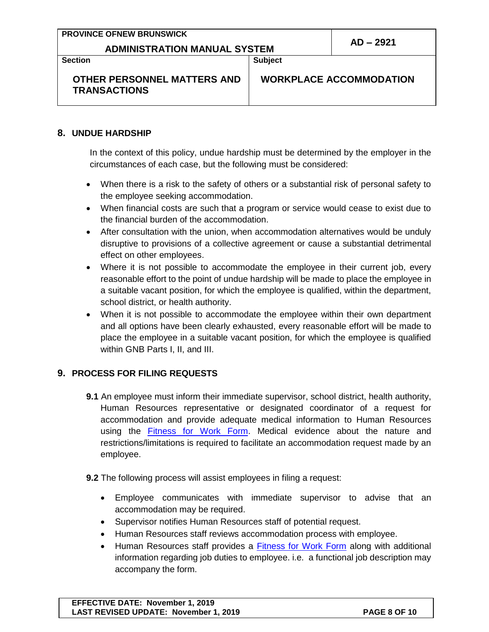#### **PROVINCE OFNEW BRUNSWICK**

# **ADMINISTRATION MANUAL SYSTEM AD – <sup>2921</sup>**

**Section**

**Subject**

#### **OTHER PERSONNEL MATTERS AND TRANSACTIONS**

**WORKPLACE ACCOMMODATION**

#### **8. UNDUE HARDSHIP**

In the context of this policy, undue hardship must be determined by the employer in the circumstances of each case, but the following must be considered:

- When there is a risk to the safety of others or a substantial risk of personal safety to the employee seeking accommodation.
- When financial costs are such that a program or service would cease to exist due to the financial burden of the accommodation.
- After consultation with the union, when accommodation alternatives would be unduly disruptive to provisions of a collective agreement or cause a substantial detrimental effect on other employees.
- Where it is not possible to accommodate the employee in their current job, every reasonable effort to the point of undue hardship will be made to place the employee in a suitable vacant position, for which the employee is qualified, within the department, school district, or health authority.
- When it is not possible to accommodate the employee within their own department and all options have been clearly exhausted, every reasonable effort will be made to place the employee in a suitable vacant position, for which the employee is qualified within GNB Parts I, II, and III.

#### **9. PROCESS FOR FILING REQUESTS**

- **9.1** An employee must inform their immediate supervisor, school district, health authority, Human Resources representative or designated coordinator of a request for accommodation and provide adequate medical information to Human Resources using the [Fitness for Work Form.](http://intranet.gnb.ca/intellinet/adminman/adminman/2921A-e.pdf) Medical evidence about the nature and restrictions/limitations is required to facilitate an accommodation request made by an employee.
- **9.2** The following process will assist employees in filing a request:
	- Employee communicates with immediate supervisor to advise that an accommodation may be required.
	- Supervisor notifies Human Resources staff of potential request.
	- Human Resources staff reviews accommodation process with employee.
	- Human Resources staff provides a [Fitness for Work Form](http://intranet.gnb.ca/intellinet/adminman/adminman/2921A-e.pdf) along with additional information regarding job duties to employee. i.e. a functional job description may accompany the form.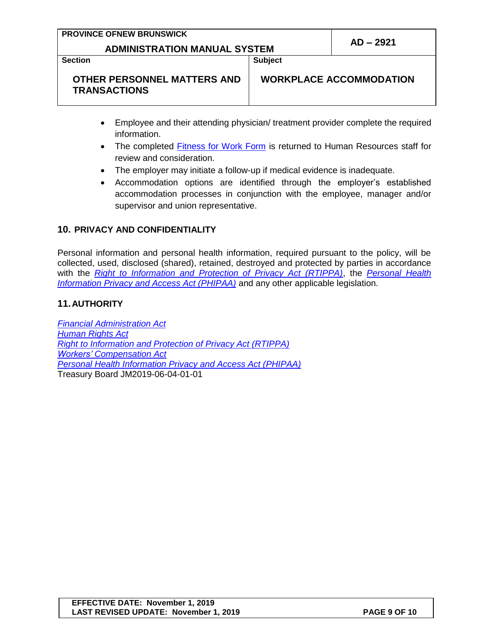| <b>PROVINCE OFNEW BRUNSWICK</b>     |             |
|-------------------------------------|-------------|
| <b>ADMINISTRATION MANUAL SYSTEM</b> | $AD - 2921$ |

**Section**

**Subject**

**WORKPLACE ACCOMMODATION**

- **OTHER PERSONNEL MATTERS AND TRANSACTIONS**
	- Employee and their attending physician/ treatment provider complete the required information.
	- The completed [Fitness for Work Form](http://intranet.gnb.ca/intellinet/adminman/adminman/2921A-e.pdf) is returned to Human Resources staff for review and consideration.
	- The employer may initiate a follow-up if medical evidence is inadequate.
	- Accommodation options are identified through the employer's established accommodation processes in conjunction with the employee, manager and/or supervisor and union representative.

### **10. PRIVACY AND CONFIDENTIALITY**

Personal information and personal health information, required pursuant to the policy, will be collected, used, disclosed (shared), retained, destroyed and protected by parties in accordance with the *[Right to Information and Protection of Privacy Act \(RTIPPA\)](http://laws.gnb.ca/en/ShowPdf/cs/R-10.6.pdf)*, the *[Personal Health](http://laws.gnb.ca/en/ShowPdf/cs/P-7.05.pdf)  [Information Privacy and Access Act \(PHIPAA\)](http://laws.gnb.ca/en/ShowPdf/cs/P-7.05.pdf)* and any other applicable legislation.

### **11.AUTHORITY**

*[Financial Administration Act](http://laws.gnb.ca/en/ShowPdf/cs/2011-c.160.pdf) [Human Rights Act](http://laws.gnb.ca/en/ShowPdf/cs/2011-c.171.pdf) [Right to Information and Protection of Privacy Act \(RTIPPA\)](http://laws.gnb.ca/en/ShowPdf/cs/R-10.6.pdf) Workers' [Compensation Act](http://laws.gnb.ca/en/ShowPdf/cs/W-13.pdf) [Personal Health Information Privacy and Access Act \(PHIPAA\)](http://laws.gnb.ca/en/ShowPdf/cs/P-7.05.pdf)* Treasury Board JM2019-06-04-01-01